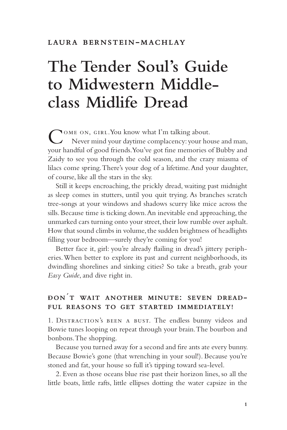## **The Tender Soul's Guide to Midwestern Middleclass Midlife Dread**

Come on, girl. You know what I'm talking about. Never mind your daytime complacency: your house and man, your handful of good friends. You've got fine memories of Bubby and Zaidy to see you through the cold season, and the crazy miasma of lilacs come spring. There's your dog of a lifetime. And your daughter, of course, like all the stars in the sky.

Still it keeps encroaching, the prickly dread, waiting past midnight as sleep comes in stutters, until you quit trying. As branches scratch tree-songs at your windows and shadows scurry like mice across the sills. Because time is ticking down. An inevitable end approaching, the unmarked cars turning onto your street, their low rumble over asphalt. How that sound climbs in volume, the sudden brightness of headlights filling your bedroom—surely they're coming for you!

Better face it, girl: you're already flailing in dread's jittery peripheries. When better to explore its past and current neighborhoods, its dwindling shorelines and sinking cities? So take a breath, grab your *Easy Guide*, and dive right in.

# **Dont wait another minute: seven dread- ful reasons to get started immediately!**

1. Distraction's been a bust. The endless bunny videos and Bowie tunes looping on repeat through your brain. The bourbon and bonbons. The shopping.

Because you turned away for a second and fire ants ate every bunny. Because Bowie's gone (that wrenching in your soul!). Because you're stoned and fat, your house so full it's tipping toward sea-level.

2. Even as those oceans blue rise past their horizon lines, so all the little boats, little rafts, little ellipses dotting the water capsize in the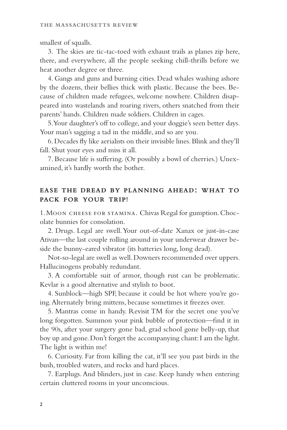smallest of squalls.

3. The skies are tic-tac-toed with exhaust trails as planes zip here, there, and everywhere, all the people seeking chill-thrills before we heat another degree or three.

4. Gangs and guns and burning cities. Dead whales washing ashore by the dozens, their bellies thick with plastic. Because the bees. Because of children made refugees, welcome nowhere. Children disappeared into wastelands and roaring rivers, others snatched from their parents' hands. Children made soldiers. Children in cages.

5. Your daughter's off to college, and your doggie's seen better days. Your man's sagging a tad in the middle, and so are you.

6. Decades fly like aerialists on their invisible lines. Blink and they'll fall. Shut your eyes and miss it all.

7. Because life is suffering. (Or possibly a bowl of cherries.) Unexamined, it's hardly worth the bother.

### **ease the dread by planning ahead: what to pack for your trip!**

1. Moon cheese for stamina. Chivas Regal for gumption. Chocolate bunnies for consolation.

2. Drugs. Legal are swell. Your out-of-date Xanax or just-in-case Ativan—the last couple rolling around in your underwear drawer beside the bunny-eared vibrator (its batteries long, long dead).

Not-so-legal are swell as well. Downers recommended over uppers. Hallucinogens probably redundant.

3. A comfortable suit of armor, though rust can be problematic. Kevlar is a good alternative and stylish to boot.

4. Sunblock—high SPF, because it could be hot where you're going. Alternately bring mittens, because sometimes it freezes over.

5. Mantras come in handy. Revisit TM for the secret one you've long forgotten. Summon your pink bubble of protection—find it in the 90s, after your surgery gone bad, grad school gone belly-up, that boy up and gone. Don't forget the accompanying chant: I am the light. The light is within me!

6. Curiosity. Far from killing the cat, it'll see you past birds in the bush, troubled waters, and rocks and hard places.

7. Earplugs. And blinders, just in case. Keep handy when entering certain cluttered rooms in your unconscious.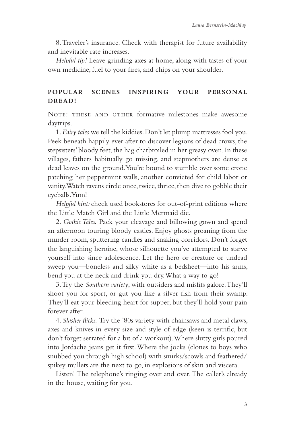8. Traveler's insurance. Check with therapist for future availability and inevitable rate increases.

*Helpful tip!* Leave grinding axes at home, along with tastes of your own medicine, fuel to your fires, and chips on your shoulder.

## **popular scenes inspiring your personal dread!**

Note: these and other formative milestones make awesome daytrips.

1. *Fairy tales* we tell the kiddies. Don't let plump mattresses fool you. Peek beneath happily ever after to discover legions of dead crows, the stepsisters' bloody feet, the hag charbroiled in her greasy oven. In these villages, fathers habitually go missing, and stepmothers are dense as dead leaves on the ground. You're bound to stumble over some crone patching her peppermint walls, another convicted for child labor or vanity. Watch ravens circle once, twice, thrice, then dive to gobble their eyeballs. Yum!

*Helpful hint:* check used bookstores for out-of-print editions where the Little Match Girl and the Little Mermaid die.

2. *Gothic Tales.* Pack your cleavage and billowing gown and spend an afternoon touring bloody castles. Enjoy ghosts groaning from the murder room, sputtering candles and snaking corridors. Don't forget the languishing heroine, whose silhouette you've attempted to starve yourself into since adolescence. Let the hero or creature or undead sweep you—boneless and silky white as a bedsheet—into his arms, bend you at the neck and drink you dry. What a way to go!

3. Try the *Southern variety*, with outsiders and misfits galore. They'll shoot you for sport, or gut you like a silver fish from their swamp. They'll eat your bleeding heart for supper, but they'll hold your pain forever after.

4. *Slasher flicks.* Try the '80s variety with chainsaws and metal claws, axes and knives in every size and style of edge (keen is terrific, but don't forget serrated for a bit of a workout). Where slutty girls poured into Jordache jeans get it first. Where the jocks (clones to boys who snubbed you through high school) with smirks/scowls and feathered/ spikey mullets are the next to go, in explosions of skin and viscera.

Listen! The telephone's ringing over and over. The caller's already in the house, waiting for you.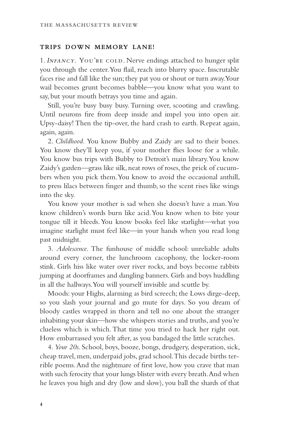#### **trips down memory lane!**

1. *INFANCY*. YOU'RE COLD. Nerve endings attached to hunger split you through the center. You flail, reach into blurry space. Inscrutable faces rise and fall like the sun; they pat you or shout or turn away. Your wail becomes grunt becomes babble—you know what you want to say, but your mouth betrays you time and again.

Still, you're busy busy busy. Turning over, scooting and crawling. Until neurons fire from deep inside and impel you into open air. Upsy-daisy! Then the tip-over, the hard crash to earth. Repeat again, again, again.

2. *Childhood.* You know Bubby and Zaidy are sad to their bones. You know they'll keep you, if your mother flies loose for a while. You know bus trips with Bubby to Detroit's main library. You know Zaidy's garden—grass like silk, neat rows of roses, the prick of cucumbers when you pick them. You know to avoid the occasional anthill, to press lilacs between finger and thumb, so the scent rises like wings into the sky.

You know your mother is sad when she doesn't have a man. You know children's words burn like acid. You know when to bite your tongue till it bleeds. You know books feel like starlight—what you imagine starlight must feel like—in your hands when you read long past midnight.

3. *Adolescence.* The funhouse of middle school: unreliable adults around every corner, the lunchroom cacophony, the locker-room stink. Girls hiss like water over river rocks, and boys become rabbits jumping at doorframes and dangling banners. Girls and boys huddling in all the hallways. You will yourself invisible and scuttle by.

Moods: your Highs, alarming as bird screech; the Lows dirge-deep, so you slash your journal and go mute for days. So you dream of bloody castles wrapped in thorn and tell no one about the stranger inhabiting your skin—how she whispers stories and truths, and you're clueless which is which. That time you tried to hack her right out. How embarrassed you felt after, as you bandaged the little scratches.

4. *Your 20s.* School, boys, booze, bongs, drudgery, desperation, sick, cheap travel, men, underpaid jobs, grad school. This decade births terrible poems. And the nightmare of first love, how you crave that man with such ferocity that your lungs blister with every breath. And when he leaves you high and dry (low and slow), you ball the shards of that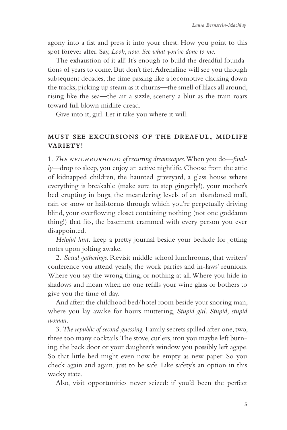agony into a fist and press it into your chest. How you point to this spot forever after. Say, *Look, now. See what you've done to me.*

The exhaustion of it all! It's enough to build the dreadful foundations of years to come. But don't fret. Adrenaline will see you through subsequent decades, the time passing like a locomotive clacking down the tracks, picking up steam as it churns—the smell of lilacs all around, rising like the sea—the air a sizzle, scenery a blur as the train roars toward full blown midlife dread.

Give into it, girl. Let it take you where it will.

## **must see excursions of the dreaful, midlife variety!**

1. *<sup>T</sup>*he neighborhood *of* r*ecurring dreamscapes.* When you do—*finally*—drop to sleep, you enjoy an active nightlife. Choose from the attic of kidnapped children, the haunted graveyard, a glass house where everything is breakable (make sure to step gingerly!), your mother's bed erupting in bugs, the meandering levels of an abandoned mall, rain or snow or hailstorms through which you're perpetually driving blind, your overflowing closet containing nothing (not one goddamn thing!) that fits, the basement crammed with every person you ever disappointed.

*Helpful hint:* keep a pretty journal beside your bedside for jotting notes upon jolting awake.

2. *Social gatherings.* Revisit middle school lunchrooms, that writers' conference you attend yearly, the work parties and in-laws' reunions. Where you say the wrong thing, or nothing at all. Where you hide in shadows and moan when no one refills your wine glass or bothers to give you the time of day.

And after: the childhood bed/hotel room beside your snoring man, where you lay awake for hours muttering, *Stupid girl. Stupid, stupid woman*.

3. *The republic of second-guessing.* Family secrets spilled after one, two, three too many cocktails. The stove, curlers, iron you maybe left burning, the back door or your daughter's window you possibly left agape. So that little bed might even now be empty as new paper. So you check again and again, just to be safe. Like safety's an option in this wacky state.

Also, visit opportunities never seized: if you'd been the perfect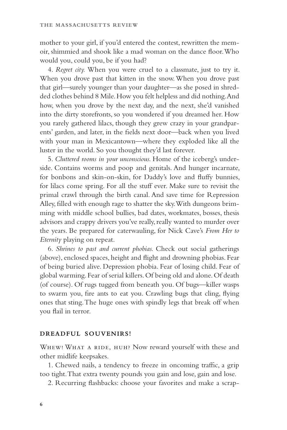mother to your girl, if you'd entered the contest, rewritten the memoir, shimmied and shook like a mad woman on the dance floor. Who would you, could you, be if you had?

4. *Regret city.* When you were cruel to a classmate, just to try it. When you drove past that kitten in the snow. When you drove past that girl—surely younger than your daughter—as she posed in shredded clothes behind 8 Mile. How you felt helpless and did nothing. And how, when you drove by the next day, and the next, she'd vanished into the dirty storefronts, so you wondered if you dreamed her. How you rarely gathered lilacs, though they grew crazy in your grandparents' garden, and later, in the fields next door—back when you lived with your man in Mexicantown—where they exploded like all the luster in the world. So you thought they'd last forever.

5. *Cluttered rooms in your unconscious.* Home of the iceberg's underside. Contains worms and poop and genitals. And hunger incarnate, for bonbons and skin-on-skin, for Daddy's love and fluffy bunnies, for lilacs come spring. For all the stuff ever. Make sure to revisit the primal crawl through the birth canal. And save time for Repression Alley, filled with enough rage to shatter the sky. With dungeons brimming with middle school bullies, bad dates, workmates, bosses, thesis advisors and crappy drivers you've really, really wanted to murder over the years. Be prepared for caterwauling, for Nick Cave's *From Her to Eternity* playing on repeat.

6. *Shrines to past and current phobias.* Check out social gatherings (above), enclosed spaces, height and flight and drowning phobias. Fear of being buried alive. Depression phobia. Fear of losing child. Fear of global warming. Fear of serial killers. Of being old and alone. Of death (of course). Of rugs tugged from beneath you. Of bugs—killer wasps to swarm you, fire ants to eat you. Crawling bugs that cling, flying ones that sting. The huge ones with spindly legs that break off when you flail in terror.

#### **dreadful souvenirs!**

WHEW! WHAT A RIDE, HUH? Now reward yourself with these and other midlife keepsakes.

1. Chewed nails, a tendency to freeze in oncoming traffic, a grip too tight. That extra twenty pounds you gain and lose, gain and lose.

2. Recurring flashbacks: choose your favorites and make a scrap-